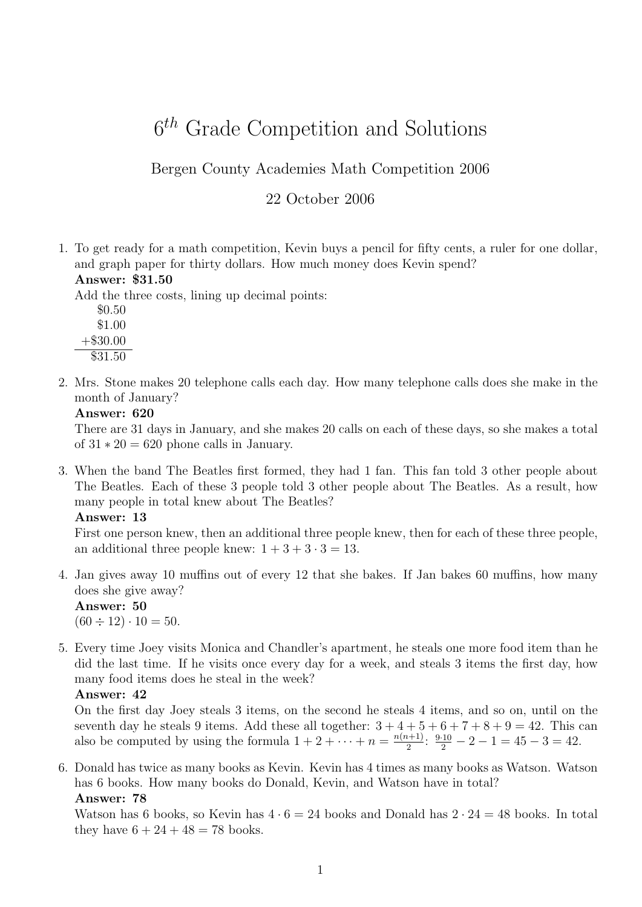# $6<sup>th</sup>$  Grade Competition and Solutions

Bergen County Academies Math Competition 2006

# 22 October 2006

1. To get ready for a math competition, Kevin buys a pencil for fifty cents, a ruler for one dollar, and graph paper for thirty dollars. How much money does Kevin spend? Answer: \$31.50

Add the three costs, lining up decimal points:

- \$0.50 \$1.00  $+\$30.00$ 
	- \$31.50
- 2. Mrs. Stone makes 20 telephone calls each day. How many telephone calls does she make in the month of January?

#### Answer: 620

There are 31 days in January, and she makes 20 calls on each of these days, so she makes a total of  $31 \times 20 = 620$  phone calls in January.

3. When the band The Beatles first formed, they had 1 fan. This fan told 3 other people about The Beatles. Each of these 3 people told 3 other people about The Beatles. As a result, how many people in total knew about The Beatles?

#### Answer: 13

First one person knew, then an additional three people knew, then for each of these three people, an additional three people knew:  $1 + 3 + 3 \cdot 3 = 13$ .

4. Jan gives away 10 muffins out of every 12 that she bakes. If Jan bakes 60 muffins, how many does she give away?

Answer: 50  $(60 \div 12) \cdot 10 = 50.$ 

5. Every time Joey visits Monica and Chandler's apartment, he steals one more food item than he did the last time. If he visits once every day for a week, and steals 3 items the first day, how many food items does he steal in the week?

#### Answer: 42

On the first day Joey steals 3 items, on the second he steals 4 items, and so on, until on the seventh day he steals 9 items. Add these all together:  $3+4+5+6+7+8+9=42$ . This can also be computed by using the formula  $1 + 2 + \cdots + n = \frac{n(n+1)}{2}$  $\frac{2^{i+1}}{2}$ :  $\frac{9 \cdot 10}{2} - 2 - 1 = 45 - 3 = 42$ .

6. Donald has twice as many books as Kevin. Kevin has 4 times as many books as Watson. Watson has 6 books. How many books do Donald, Kevin, and Watson have in total? Answer: 78

Watson has 6 books, so Kevin has  $4 \cdot 6 = 24$  books and Donald has  $2 \cdot 24 = 48$  books. In total they have  $6 + 24 + 48 = 78$  books.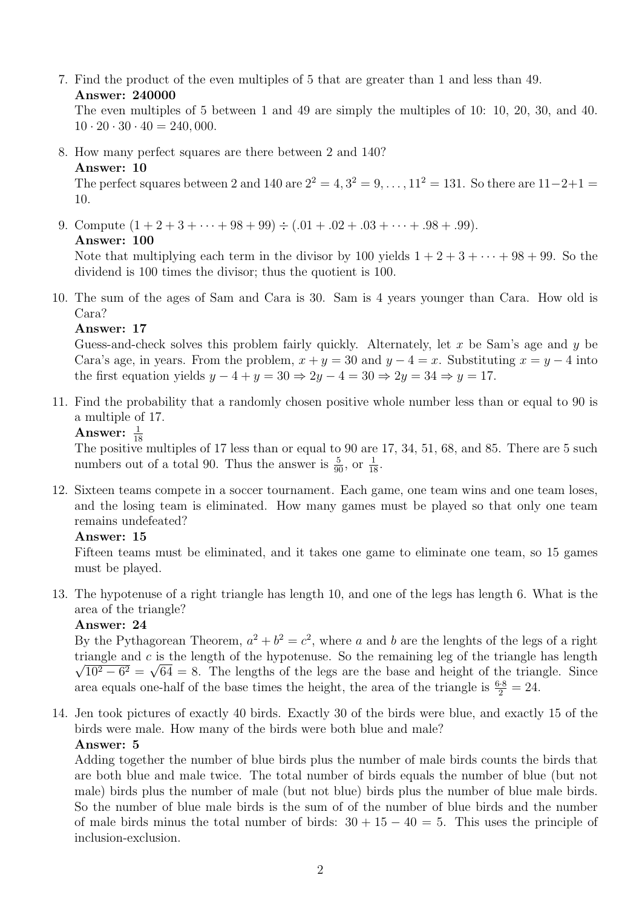7. Find the product of the even multiples of 5 that are greater than 1 and less than 49. Answer: 240000

The even multiples of 5 between 1 and 49 are simply the multiples of 10: 10, 20, 30, and 40.  $10 \cdot 20 \cdot 30 \cdot 40 = 240,000.$ 

8. How many perfect squares are there between 2 and 140?

#### Answer: 10

The perfect squares between 2 and 140 are  $2^2 = 4, 3^2 = 9, ..., 11^2 = 131$ . So there are  $11-2+1 =$ 10.

9. Compute  $(1 + 2 + 3 + \cdots + 98 + 99) \div (.01 + .02 + .03 + \cdots + .98 + .99)$ .

#### Answer: 100

Note that multiplying each term in the divisor by 100 yields  $1 + 2 + 3 + \cdots + 98 + 99$ . So the dividend is 100 times the divisor; thus the quotient is 100.

10. The sum of the ages of Sam and Cara is 30. Sam is 4 years younger than Cara. How old is Cara?

# Answer: 17

Guess-and-check solves this problem fairly quickly. Alternately, let  $x$  be Sam's age and  $y$  be Cara's age, in years. From the problem,  $x + y = 30$  and  $y - 4 = x$ . Substituting  $x = y - 4$  into the first equation yields  $y - 4 + y = 30 \Rightarrow 2y - 4 = 30 \Rightarrow 2y = 34 \Rightarrow y = 17$ .

11. Find the probability that a randomly chosen positive whole number less than or equal to 90 is a multiple of 17.

# Answer:  $\frac{1}{18}$

The positive multiples of 17 less than or equal to 90 are 17, 34, 51, 68, and 85. There are 5 such numbers out of a total 90. Thus the answer is  $\frac{5}{90}$ , or  $\frac{1}{18}$ .

12. Sixteen teams compete in a soccer tournament. Each game, one team wins and one team loses, and the losing team is eliminated. How many games must be played so that only one team remains undefeated?

# Answer: 15

Fifteen teams must be eliminated, and it takes one game to eliminate one team, so 15 games must be played.

13. The hypotenuse of a right triangle has length 10, and one of the legs has length 6. What is the area of the triangle?

# Answer: 24

By the Pythagorean Theorem,  $a^2 + b^2 = c^2$ , where a and b are the lenghts of the legs of a right triangle and c is the length of the hypotenuse. So the remaining leg of the triangle has length  $10^2 - 6^2 = \sqrt{64} = 8$ . The lengths of the legs are the base and height of the triangle. Since area equals one-half of the base times the height, the area of the triangle is  $\frac{6\cdot 8}{2} = 24$ .

14. Jen took pictures of exactly 40 birds. Exactly 30 of the birds were blue, and exactly 15 of the birds were male. How many of the birds were both blue and male?

#### Answer: 5

Adding together the number of blue birds plus the number of male birds counts the birds that are both blue and male twice. The total number of birds equals the number of blue (but not male) birds plus the number of male (but not blue) birds plus the number of blue male birds. So the number of blue male birds is the sum of of the number of blue birds and the number of male birds minus the total number of birds:  $30 + 15 - 40 = 5$ . This uses the principle of inclusion-exclusion.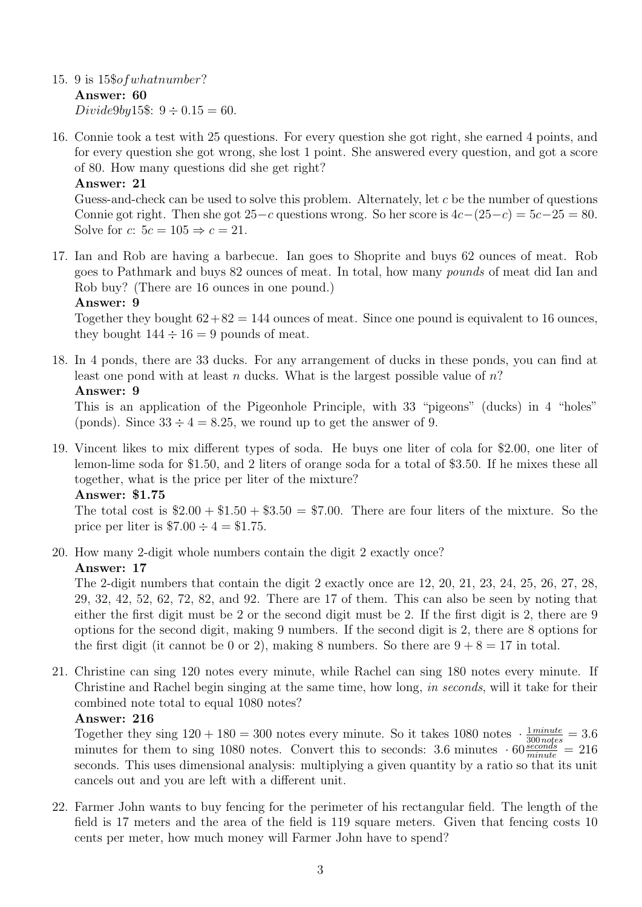- 15. 9 is 15\$ofwhatnumber? Answer: 60 Divide9by15\$:  $9 \div 0.15 = 60$ .
- 16. Connie took a test with 25 questions. For every question she got right, she earned 4 points, and for every question she got wrong, she lost 1 point. She answered every question, and got a score of 80. How many questions did she get right?

# Answer: 21

Guess-and-check can be used to solve this problem. Alternately, let c be the number of questions Connie got right. Then she got  $25-c$  questions wrong. So her score is  $4c-(25-c) = 5c-25 = 80$ . Solve for c:  $5c = 105 \Rightarrow c = 21$ .

17. Ian and Rob are having a barbecue. Ian goes to Shoprite and buys 62 ounces of meat. Rob goes to Pathmark and buys 82 ounces of meat. In total, how many pounds of meat did Ian and Rob buy? (There are 16 ounces in one pound.)

# Answer: 9

Together they bought  $62+82 = 144$  ounces of meat. Since one pound is equivalent to 16 ounces, they bought  $144 \div 16 = 9$  pounds of meat.

18. In 4 ponds, there are 33 ducks. For any arrangement of ducks in these ponds, you can find at least one pond with at least n ducks. What is the largest possible value of  $n$ ?

# Answer: 9

This is an application of the Pigeonhole Principle, with 33 "pigeons" (ducks) in 4 "holes" (ponds). Since  $33 \div 4 = 8.25$ , we round up to get the answer of 9.

19. Vincent likes to mix different types of soda. He buys one liter of cola for \$2.00, one liter of lemon-lime soda for \$1.50, and 2 liters of orange soda for a total of \$3.50. If he mixes these all together, what is the price per liter of the mixture?

#### Answer: \$1.75

The total cost is  $$2.00 + $1.50 + $3.50 = $7.00$ . There are four liters of the mixture. So the price per liter is  $$7.00 \div 4 = $1.75$ .

20. How many 2-digit whole numbers contain the digit 2 exactly once?

# Answer: 17

The 2-digit numbers that contain the digit 2 exactly once are 12, 20, 21, 23, 24, 25, 26, 27, 28, 29, 32, 42, 52, 62, 72, 82, and 92. There are 17 of them. This can also be seen by noting that either the first digit must be 2 or the second digit must be 2. If the first digit is 2, there are 9 options for the second digit, making 9 numbers. If the second digit is 2, there are 8 options for the first digit (it cannot be 0 or 2), making 8 numbers. So there are  $9 + 8 = 17$  in total.

21. Christine can sing 120 notes every minute, while Rachel can sing 180 notes every minute. If Christine and Rachel begin singing at the same time, how long, in seconds, will it take for their combined note total to equal 1080 notes?

# Answer: 216

Together they sing  $120 + 180 = 300$  notes every minute. So it takes 1080 notes  $\cdot \frac{1 \text{ minute}}{300 \text{ notes}} = 3.6$ minutes for them to sing 1080 notes. Convert this to seconds: 3.6 minutes  $\cdot 60 \frac{seconds}{minute} = 216$ seconds. This uses dimensional analysis: multiplying a given quantity by a ratio so that its unit cancels out and you are left with a different unit.

22. Farmer John wants to buy fencing for the perimeter of his rectangular field. The length of the field is 17 meters and the area of the field is 119 square meters. Given that fencing costs 10 cents per meter, how much money will Farmer John have to spend?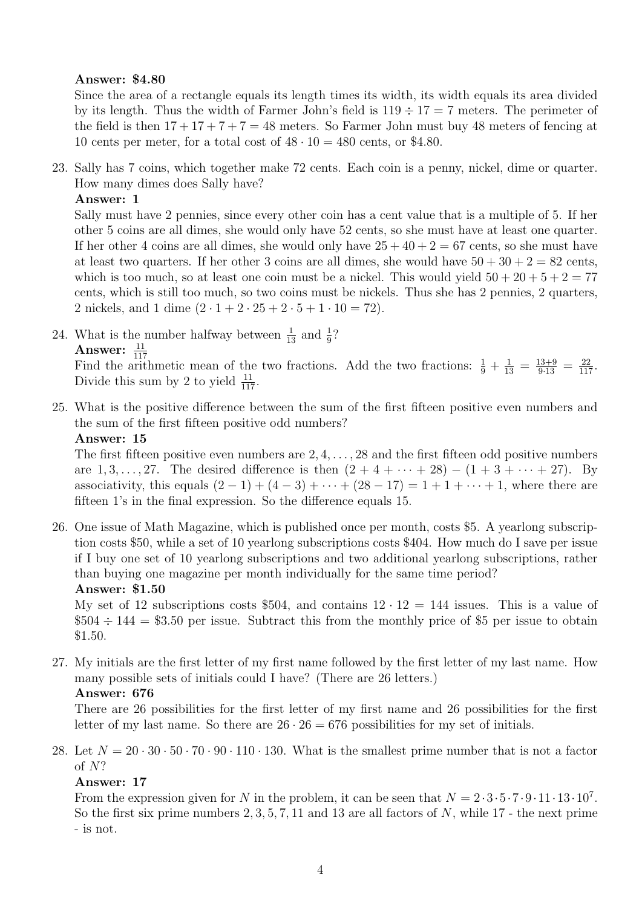# Answer: \$4.80

Since the area of a rectangle equals its length times its width, its width equals its area divided by its length. Thus the width of Farmer John's field is  $119 \div 17 = 7$  meters. The perimeter of the field is then  $17 + 17 + 7 + 7 = 48$  meters. So Farmer John must buy 48 meters of fencing at 10 cents per meter, for a total cost of  $48 \cdot 10 = 480$  cents, or \$4.80.

23. Sally has 7 coins, which together make 72 cents. Each coin is a penny, nickel, dime or quarter. How many dimes does Sally have?

Answer: 1

Sally must have 2 pennies, since every other coin has a cent value that is a multiple of 5. If her other 5 coins are all dimes, she would only have 52 cents, so she must have at least one quarter. If her other 4 coins are all dimes, she would only have  $25 + 40 + 2 = 67$  cents, so she must have at least two quarters. If her other 3 coins are all dimes, she would have  $50 + 30 + 2 = 82$  cents, which is too much, so at least one coin must be a nickel. This would yield  $50 + 20 + 5 + 2 = 77$ cents, which is still too much, so two coins must be nickels. Thus she has 2 pennies, 2 quarters, 2 nickels, and 1 dime  $(2 \cdot 1 + 2 \cdot 25 + 2 \cdot 5 + 1 \cdot 10 = 72)$ .

24. What is the number halfway between  $\frac{1}{13}$  and  $\frac{1}{9}$ ? Answer:  $\frac{11}{117}$ 

Find the arithmetic mean of the two fractions. Add the two fractions:  $\frac{1}{9} + \frac{1}{13} = \frac{13+9}{9\cdot 13} = \frac{22}{117}$ . Divide this sum by 2 to yield  $\frac{11}{117}$ .

25. What is the positive difference between the sum of the first fifteen positive even numbers and the sum of the first fifteen positive odd numbers?

```
Answer: 15
```
The first fifteen positive even numbers are  $2, 4, \ldots, 28$  and the first fifteen odd positive numbers are 1, 3, ..., 27. The desired difference is then  $(2 + 4 + \cdots + 28) - (1 + 3 + \cdots + 27)$ . By associativity, this equals  $(2 - 1) + (4 - 3) + \cdots + (28 - 17) = 1 + 1 + \cdots + 1$ , where there are fifteen 1's in the final expression. So the difference equals 15.

26. One issue of Math Magazine, which is published once per month, costs \$5. A yearlong subscription costs \$50, while a set of 10 yearlong subscriptions costs \$404. How much do I save per issue if I buy one set of 10 yearlong subscriptions and two additional yearlong subscriptions, rather than buying one magazine per month individually for the same time period? Answer: \$1.50

My set of 12 subscriptions costs \$504, and contains  $12 \cdot 12 = 144$  issues. This is a value of  $$504 \div 144 = $3.50$  per issue. Subtract this from the monthly price of \$5 per issue to obtain \$1.50.

27. My initials are the first letter of my first name followed by the first letter of my last name. How many possible sets of initials could I have? (There are 26 letters.)

# Answer: 676

There are 26 possibilities for the first letter of my first name and 26 possibilities for the first letter of my last name. So there are  $26 \cdot 26 = 676$  possibilities for my set of initials.

28. Let  $N = 20 \cdot 30 \cdot 50 \cdot 70 \cdot 90 \cdot 110 \cdot 130$ . What is the smallest prime number that is not a factor of N?

# Answer: 17

From the expression given for N in the problem, it can be seen that  $N = 2 \cdot 3 \cdot 5 \cdot 7 \cdot 9 \cdot 11 \cdot 13 \cdot 10^7$ . So the first six prime numbers  $2, 3, 5, 7, 11$  and 13 are all factors of N, while 17 - the next prime - is not.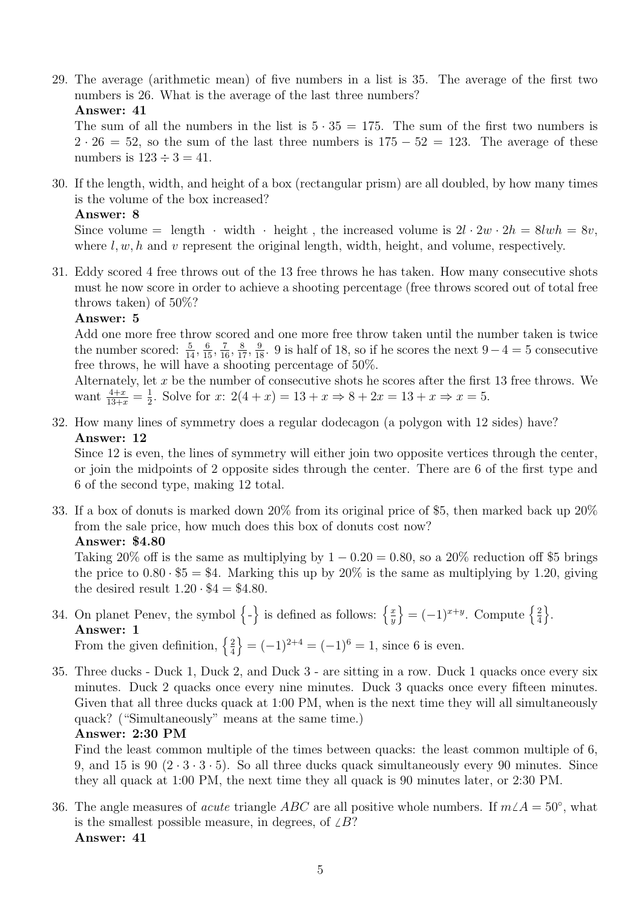29. The average (arithmetic mean) of five numbers in a list is 35. The average of the first two numbers is 26. What is the average of the last three numbers?

Answer: 41

The sum of all the numbers in the list is  $5 \cdot 35 = 175$ . The sum of the first two numbers is  $2 \cdot 26 = 52$ , so the sum of the last three numbers is  $175 - 52 = 123$ . The average of these numbers is  $123 \div 3 = 41$ .

30. If the length, width, and height of a box (rectangular prism) are all doubled, by how many times is the volume of the box increased?

#### Answer: 8

Since volume = length · width · height, the increased volume is  $2l \cdot 2w \cdot 2h = 8lwh = 8v$ , where  $l, w, h$  and v represent the original length, width, height, and volume, respectively.

31. Eddy scored 4 free throws out of the 13 free throws he has taken. How many consecutive shots must he now score in order to achieve a shooting percentage (free throws scored out of total free throws taken) of 50%?

# Answer: 5

Add one more free throw scored and one more free throw taken until the number taken is twice the number scored:  $\frac{5}{14}$ ,  $\frac{6}{15}$ ,  $\frac{7}{16}$ ,  $\frac{8}{17}$ ,  $\frac{9}{18}$ . 9 is half of 18, so if he scores the next 9 – 4 = 5 consecutive free throws, he will have a shooting percentage of 50%.

Alternately, let  $x$  be the number of consecutive shots he scores after the first 13 free throws. We want  $\frac{4+x}{13+x} = \frac{1}{2}$  $\frac{1}{2}$ . Solve for x:  $2(4+x) = 13 + x \Rightarrow 8 + 2x = 13 + x \Rightarrow x = 5$ .

32. How many lines of symmetry does a regular dodecagon (a polygon with 12 sides) have? Answer: 12

Since 12 is even, the lines of symmetry will either join two opposite vertices through the center, or join the midpoints of 2 opposite sides through the center. There are 6 of the first type and 6 of the second type, making 12 total.

33. If a box of donuts is marked down 20% from its original price of \$5, then marked back up 20% from the sale price, how much does this box of donuts cost now? Answer: \$4.80

Taking 20% off is the same as multiplying by  $1 - 0.20 = 0.80$ , so a 20% reduction off \$5 brings the price to  $0.80 \cdot $5 = $4$ . Marking this up by  $20\%$  is the same as multiplying by 1.20, giving the desired result  $1.20 \cdot $4 = $4.80$ .

- 34. On planet Penev, the symbol  $\{-\}$  is defined as follows:  $\{\frac{x}{y}\}$  $\overline{y}$  $\left\{ = (-1)^{x+y}$ . Compute  $\left\{ \frac{2}{4} \right\}$ 4  $\big\}$ . Answer: 1 From the given definition,  $\left\{\frac{2}{4}\right\}$ 4  $\{ = (-1)^{2+4} = (-1)^6 = 1, \text{ since } 6 \text{ is even.} \}$
- 35. Three ducks Duck 1, Duck 2, and Duck 3 are sitting in a row. Duck 1 quacks once every six minutes. Duck 2 quacks once every nine minutes. Duck 3 quacks once every fifteen minutes. Given that all three ducks quack at 1:00 PM, when is the next time they will all simultaneously quack? ("Simultaneously" means at the same time.)

#### Answer: 2:30 PM

Find the least common multiple of the times between quacks: the least common multiple of 6, 9, and 15 is 90  $(2 \cdot 3 \cdot 3 \cdot 5)$ . So all three ducks quack simultaneously every 90 minutes. Since they all quack at 1:00 PM, the next time they all quack is 90 minutes later, or 2:30 PM.

36. The angle measures of *acute* triangle ABC are all positive whole numbers. If  $m\angle A = 50°$ , what is the smallest possible measure, in degrees, of  $\angle B$ ? Answer: 41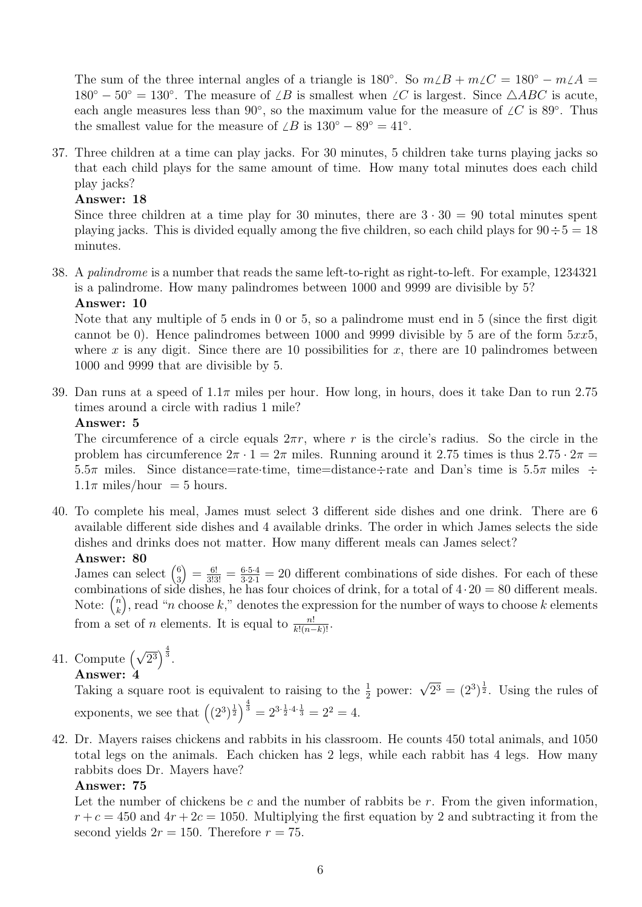The sum of the three internal angles of a triangle is  $180^\circ$ . So  $m\angle B + m\angle C = 180^\circ - m\angle A =$  $180^{\circ} - 50^{\circ} = 130^{\circ}$ . The measure of  $\angle B$  is smallest when  $\angle C$  is largest. Since  $\triangle ABC$  is acute, each angle measures less than 90°, so the maximum value for the measure of  $\angle C$  is 89°. Thus the smallest value for the measure of  $\angle B$  is  $130^{\circ} - 89^{\circ} = 41^{\circ}$ .

37. Three children at a time can play jacks. For 30 minutes, 5 children take turns playing jacks so that each child plays for the same amount of time. How many total minutes does each child play jacks?

#### Answer: 18

Since three children at a time play for 30 minutes, there are  $3 \cdot 30 = 90$  total minutes spent playing jacks. This is divided equally among the five children, so each child plays for  $90 \div 5 = 18$ minutes.

38. A palindrome is a number that reads the same left-to-right as right-to-left. For example, 1234321 is a palindrome. How many palindromes between 1000 and 9999 are divisible by 5? Answer: 10

Note that any multiple of 5 ends in 0 or 5, so a palindrome must end in 5 (since the first digit cannot be 0). Hence palindromes between 1000 and 9999 divisible by 5 are of the form  $5xx5$ , where x is any digit. Since there are 10 possibilities for x, there are 10 palindromes between 1000 and 9999 that are divisible by 5.

39. Dan runs at a speed of  $1.1\pi$  miles per hour. How long, in hours, does it take Dan to run 2.75 times around a circle with radius 1 mile?

#### Answer: 5

The circumference of a circle equals  $2\pi r$ , where r is the circle's radius. So the circle in the problem has circumference  $2\pi \cdot 1 = 2\pi$  miles. Running around it 2.75 times is thus  $2.75 \cdot 2\pi$ 5.5π miles. Since distance=rate·time, time=distance÷rate and Dan's time is 5.5π miles ÷  $1.1\pi$  miles/hour = 5 hours.

40. To complete his meal, James must select 3 different side dishes and one drink. There are 6 available different side dishes and 4 available drinks. The order in which James selects the side dishes and drinks does not matter. How many different meals can James select?

#### Answer: 80

James can select  $\binom{6}{3}$ 3  $=\frac{6!}{3!3!}=\frac{6\cdot5\cdot4}{3\cdot2\cdot1}=20$  different combinations of side dishes. For each of these combinations of side dishes, he has four choices of drink, for a total of  $4 \cdot 20 = 80$  different meals. Note:  $\binom{n}{k}$ k ), read "n choose  $k$ ," denotes the expression for the number of ways to choose k elements from a set of *n* elements. It is equal to  $\frac{n!}{k!(n-k)!}$ .

41. Compute  $(\sqrt{2^3})^{\frac{4}{3}}$ .

# Answer: 4

**Answer: 4**<br>Taking a square root is equivalent to raising to the  $\frac{1}{2}$  power:  $\sqrt{2^3} = (2^3)^{\frac{1}{2}}$ . Using the rules of exponents, we see that  $((2^3)^{\frac{1}{2}})^{\frac{4}{3}} = 2^{3 \cdot \frac{1}{2} \cdot 4 \cdot \frac{1}{3}} = 2^2 = 4$ .

42. Dr. Mayers raises chickens and rabbits in his classroom. He counts 450 total animals, and 1050 total legs on the animals. Each chicken has 2 legs, while each rabbit has 4 legs. How many rabbits does Dr. Mayers have?

# Answer: 75

Let the number of chickens be c and the number of rabbits be  $r$ . From the given information,  $r + c = 450$  and  $4r + 2c = 1050$ . Multiplying the first equation by 2 and subtracting it from the second yields  $2r = 150$ . Therefore  $r = 75$ .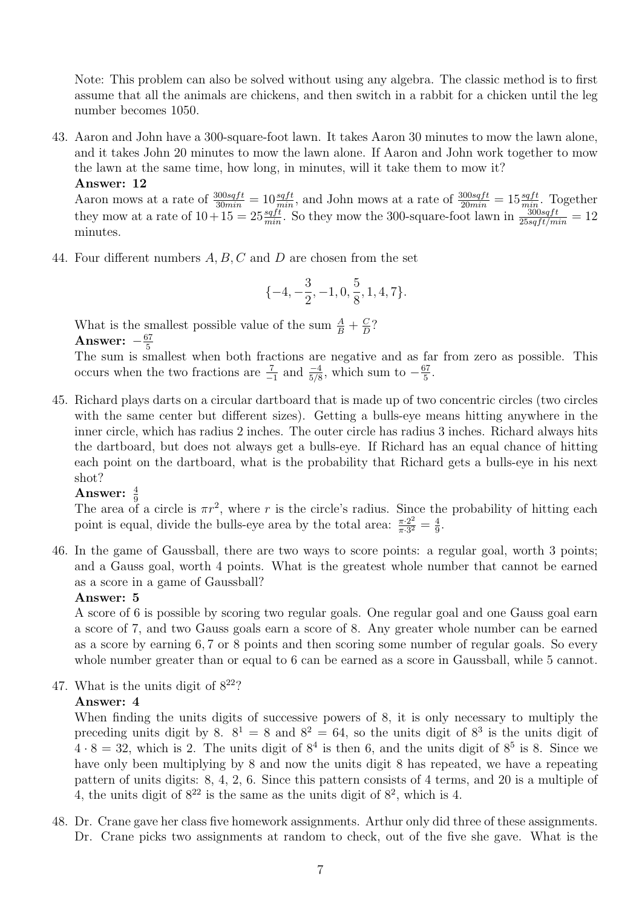Note: This problem can also be solved without using any algebra. The classic method is to first assume that all the animals are chickens, and then switch in a rabbit for a chicken until the leg number becomes 1050.

43. Aaron and John have a 300-square-foot lawn. It takes Aaron 30 minutes to mow the lawn alone, and it takes John 20 minutes to mow the lawn alone. If Aaron and John work together to mow the lawn at the same time, how long, in minutes, will it take them to mow it? Answer: 12

Aaron mows at a rate of  $\frac{300sqrtft}{30min} = 10 \frac{sqrtft}{min}$ , and John mows at a rate of  $\frac{300sqrtft}{20min} = 15 \frac{sqrtft}{min}$ . Together they mow at a rate of  $10+15=25\frac{sqft}{min}$ . So they mow the 300-square-foot lawn in  $\frac{300sqft}{25sqft/min}=12$ minutes.

44. Four different numbers A, B, C and D are chosen from the set

$$
\{-4, -\frac{3}{2}, -1, 0, \frac{5}{8}, 1, 4, 7\}.
$$

What is the smallest possible value of the sum  $\frac{A}{B} + \frac{C}{D}$  $\frac{C}{D}$ ? Answer:  $-\frac{67}{5}$ 5

The sum is smallest when both fractions are negative and as far from zero as possible. This occurs when the two fractions are  $\frac{7}{-1}$  and  $\frac{-4}{5/8}$ , which sum to  $-\frac{67}{5}$  $\frac{57}{5}$ .

45. Richard plays darts on a circular dartboard that is made up of two concentric circles (two circles with the same center but different sizes). Getting a bulls-eye means hitting anywhere in the inner circle, which has radius 2 inches. The outer circle has radius 3 inches. Richard always hits the dartboard, but does not always get a bulls-eye. If Richard has an equal chance of hitting each point on the dartboard, what is the probability that Richard gets a bulls-eye in his next shot?

# Answer:  $\frac{4}{9}$

The area of a circle is  $\pi r^2$ , where r is the circle's radius. Since the probability of hitting each point is equal, divide the bulls-eye area by the total area:  $\frac{\pi \cdot 2^2}{\pi \cdot 3^2}$  $\frac{\pi \cdot 2^2}{\pi \cdot 3^2} = \frac{4}{9}$  $\frac{4}{9}$ .

46. In the game of Gaussball, there are two ways to score points: a regular goal, worth 3 points; and a Gauss goal, worth 4 points. What is the greatest whole number that cannot be earned as a score in a game of Gaussball?

#### Answer: 5

A score of 6 is possible by scoring two regular goals. One regular goal and one Gauss goal earn a score of 7, and two Gauss goals earn a score of 8. Any greater whole number can be earned as a score by earning 6, 7 or 8 points and then scoring some number of regular goals. So every whole number greater than or equal to 6 can be earned as a score in Gaussball, while 5 cannot.

47. What is the units digit of  $8^{22}$ ?

# Answer: 4

When finding the units digits of successive powers of 8, it is only necessary to multiply the preceding units digit by 8.  $8^1 = 8$  and  $8^2 = 64$ , so the units digit of  $8^3$  is the units digit of  $4 \cdot 8 = 32$ , which is 2. The units digit of  $8^4$  is then 6, and the units digit of  $8^5$  is 8. Since we have only been multiplying by 8 and now the units digit 8 has repeated, we have a repeating pattern of units digits: 8, 4, 2, 6. Since this pattern consists of 4 terms, and 20 is a multiple of 4, the units digit of  $8^{22}$  is the same as the units digit of  $8^{2}$ , which is 4.

48. Dr. Crane gave her class five homework assignments. Arthur only did three of these assignments. Dr. Crane picks two assignments at random to check, out of the five she gave. What is the